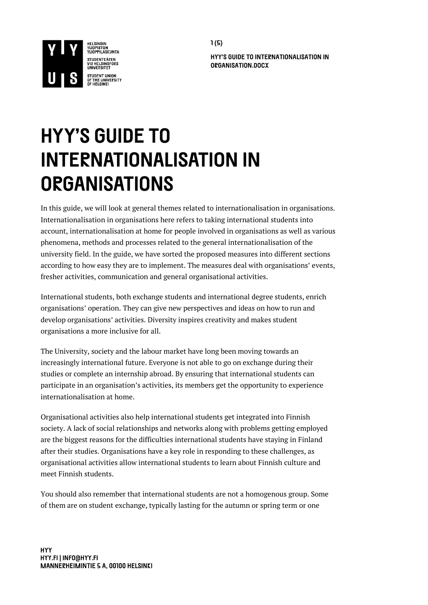

HYY'S GUIDE TO INTERNATIONALISATION IN ORGANISATION.DOCX

# **HYY'S GUIDE TO INTERNATIONALISATION IN ORGANISATIONS**

In this guide, we will look at general themes related to internationalisation in organisations. Internationalisation in organisations here refers to taking international students into account, internationalisation at home for people involved in organisations as well as various phenomena, methods and processes related to the general internationalisation of the university field. In the guide, we have sorted the proposed measures into different sections according to how easy they are to implement. The measures deal with organisations' events, fresher activities, communication and general organisational activities.

International students, both exchange students and international degree students, enrich organisations' operation. They can give new perspectives and ideas on how to run and develop organisations' activities. Diversity inspires creativity and makes student organisations a more inclusive for all.

The University, society and the labour market have long been moving towards an increasingly international future. Everyone is not able to go on exchange during their studies or complete an internship abroad. By ensuring that international students can participate in an organisation's activities, its members get the opportunity to experience internationalisation at home.

Organisational activities also help international students get integrated into Finnish society. A lack of social relationships and networks along with problems getting employed are the biggest reasons for the difficulties international students have staying in Finland after their studies. Organisations have a key role in responding to these challenges, as organisational activities allow international students to learn about Finnish culture and meet Finnish students.

You should also remember that international students are not a homogenous group. Some of them are on student exchange, typically lasting for the autumn or spring term or one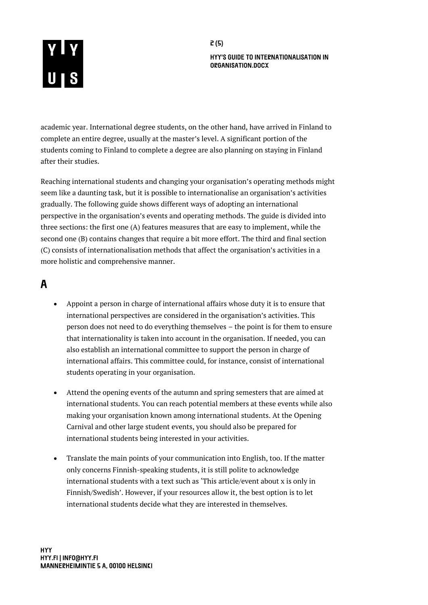# YIY<br>U|S

 $2(5)$ HYY'S GUIDE TO INTERNATIONALISATION IN ORGANISATION.DOCX

academic year. International degree students, on the other hand, have arrived in Finland to complete an entire degree, usually at the master's level. A significant portion of the students coming to Finland to complete a degree are also planning on staying in Finland after their studies.

Reaching international students and changing your organisation's operating methods might seem like a daunting task, but it is possible to internationalise an organisation's activities gradually. The following guide shows different ways of adopting an international perspective in the organisation's events and operating methods. The guide is divided into three sections: the first one (A) features measures that are easy to implement, while the second one (B) contains changes that require a bit more effort. The third and final section (C) consists of internationalisation methods that affect the organisation's activities in a more holistic and comprehensive manner.

#### A

- Appoint a person in charge of international affairs whose duty it is to ensure that international perspectives are considered in the organisation's activities. This person does not need to do everything themselves – the point is for them to ensure that internationality is taken into account in the organisation. If needed, you can also establish an international committee to support the person in charge of international affairs. This committee could, for instance, consist of international students operating in your organisation.
- Attend the opening events of the autumn and spring semesters that are aimed at international students. You can reach potential members at these events while also making your organisation known among international students. At the Opening Carnival and other large student events, you should also be prepared for international students being interested in your activities.
- Translate the main points of your communication into English, too. If the matter only concerns Finnish-speaking students, it is still polite to acknowledge international students with a text such as 'This article/event about x is only in Finnish/Swedish'. However, if your resources allow it, the best option is to let international students decide what they are interested in themselves.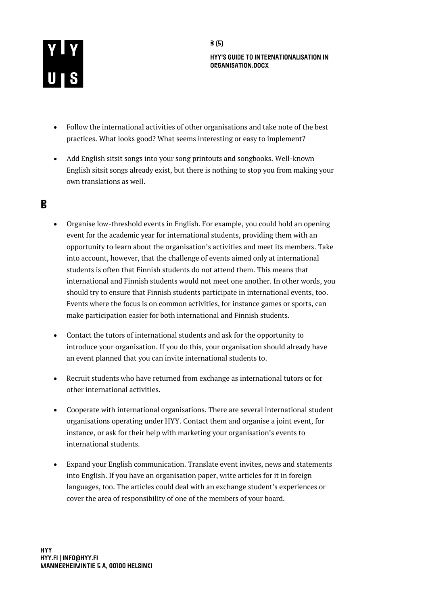

- Follow the international activities of other organisations and take note of the best practices. What looks good? What seems interesting or easy to implement?
- Add English sitsit songs into your song printouts and songbooks. Well-known English sitsit songs already exist, but there is nothing to stop you from making your own translations as well.

### B

- Organise low-threshold events in English. For example, you could hold an opening event for the academic year for international students, providing them with an opportunity to learn about the organisation's activities and meet its members. Take into account, however, that the challenge of events aimed only at international students is often that Finnish students do not attend them. This means that international and Finnish students would not meet one another. In other words, you should try to ensure that Finnish students participate in international events, too. Events where the focus is on common activities, for instance games or sports, can make participation easier for both international and Finnish students.
- Contact the tutors of international students and ask for the opportunity to introduce your organisation. If you do this, your organisation should already have an event planned that you can invite international students to.
- Recruit students who have returned from exchange as international tutors or for other international activities.
- Cooperate with international organisations. There are several international student organisations operating under HYY. Contact them and organise a joint event, for instance, or ask for their help with marketing your organisation's events to international students.
- Expand your English communication. Translate event invites, news and statements into English. If you have an organisation paper, write articles for it in foreign languages, too. The articles could deal with an exchange student's experiences or cover the area of responsibility of one of the members of your board.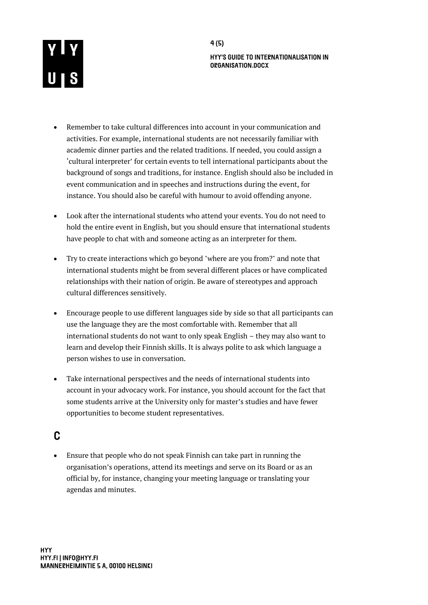

- Remember to take cultural differences into account in your communication and activities. For example, international students are not necessarily familiar with academic dinner parties and the related traditions. If needed, you could assign a 'cultural interpreter' for certain events to tell international participants about the background of songs and traditions, for instance. English should also be included in event communication and in speeches and instructions during the event, for instance. You should also be careful with humour to avoid offending anyone.
- Look after the international students who attend your events. You do not need to hold the entire event in English, but you should ensure that international students have people to chat with and someone acting as an interpreter for them.
- Try to create interactions which go beyond "where are you from?" and note that international students might be from several different places or have complicated relationships with their nation of origin. Be aware of stereotypes and approach cultural differences sensitively.
- Encourage people to use different languages side by side so that all participants can use the language they are the most comfortable with. Remember that all international students do not want to only speak English – they may also want to learn and develop their Finnish skills. It is always polite to ask which language a person wishes to use in conversation.
- Take international perspectives and the needs of international students into account in your advocacy work. For instance, you should account for the fact that some students arrive at the University only for master's studies and have fewer opportunities to become student representatives.

## $\mathbf{C}$

• Ensure that people who do not speak Finnish can take part in running the organisation's operations, attend its meetings and serve on its Board or as an official by, for instance, changing your meeting language or translating your agendas and minutes.